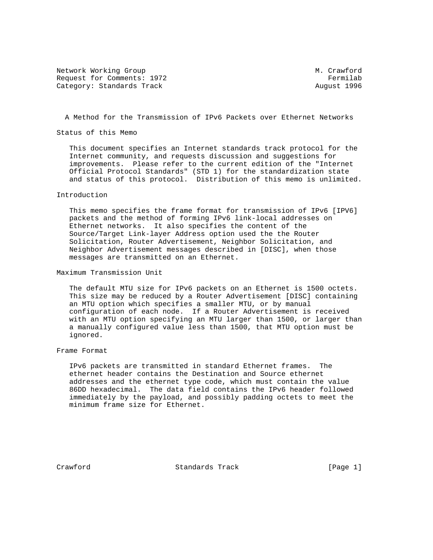Network Working Group M. Crawford Request for Comments: 1972 **Fermilab** Category: Standards Track August 1996

A Method for the Transmission of IPv6 Packets over Ethernet Networks

Status of this Memo

 This document specifies an Internet standards track protocol for the Internet community, and requests discussion and suggestions for improvements. Please refer to the current edition of the "Internet Official Protocol Standards" (STD 1) for the standardization state and status of this protocol. Distribution of this memo is unlimited.

## Introduction

 This memo specifies the frame format for transmission of IPv6 [IPV6] packets and the method of forming IPv6 link-local addresses on Ethernet networks. It also specifies the content of the Source/Target Link-layer Address option used the the Router Solicitation, Router Advertisement, Neighbor Solicitation, and Neighbor Advertisement messages described in [DISC], when those messages are transmitted on an Ethernet.

Maximum Transmission Unit

 The default MTU size for IPv6 packets on an Ethernet is 1500 octets. This size may be reduced by a Router Advertisement [DISC] containing an MTU option which specifies a smaller MTU, or by manual configuration of each node. If a Router Advertisement is received with an MTU option specifying an MTU larger than 1500, or larger than a manually configured value less than 1500, that MTU option must be ignored.

## Frame Format

 IPv6 packets are transmitted in standard Ethernet frames. The ethernet header contains the Destination and Source ethernet addresses and the ethernet type code, which must contain the value 86DD hexadecimal. The data field contains the IPv6 header followed immediately by the payload, and possibly padding octets to meet the minimum frame size for Ethernet.

Crawford Standards Track [Page 1]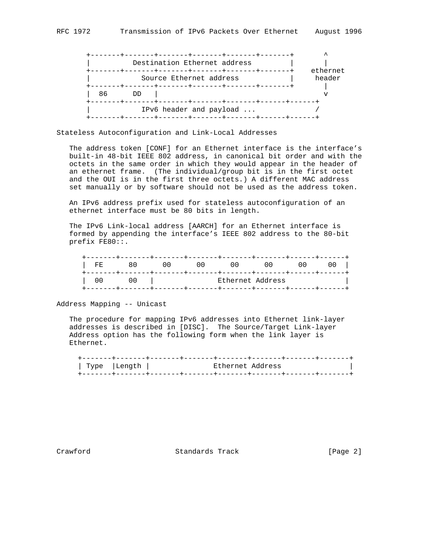|    |    | Destination Ethernet address |          |
|----|----|------------------------------|----------|
|    |    |                              | ethernet |
|    |    | Source Ethernet address      | header   |
|    |    |                              |          |
| 86 | חת |                              |          |
|    |    |                              |          |
|    |    | IPv6 header and payload      |          |
|    |    | +-------+-------+-------     |          |

Stateless Autoconfiguration and Link-Local Addresses

 The address token [CONF] for an Ethernet interface is the interface's built-in 48-bit IEEE 802 address, in canonical bit order and with the octets in the same order in which they would appear in the header of an ethernet frame. (The individual/group bit is in the first octet and the OUI is in the first three octets.) A different MAC address set manually or by software should not be used as the address token.

 An IPv6 address prefix used for stateless autoconfiguration of an ethernet interface must be 80 bits in length.

 The IPv6 Link-local address [AARCH] for an Ethernet interface is formed by appending the interface's IEEE 802 address to the 80-bit prefix FE80::.

|                  | FE  | 80 | 00 | U U | 00 | 00 | UU. |
|------------------|-----|----|----|-----|----|----|-----|
| Ethernet Address | U U | υU |    |     |    |    |     |

Address Mapping -- Unicast

 The procedure for mapping IPv6 addresses into Ethernet link-layer addresses is described in [DISC]. The Source/Target Link-layer Address option has the following form when the link layer is Ethernet.

| Type  Length | Ethernet Address |  |
|--------------|------------------|--|
|              |                  |  |

Crawford **Standards Track** [Page 2]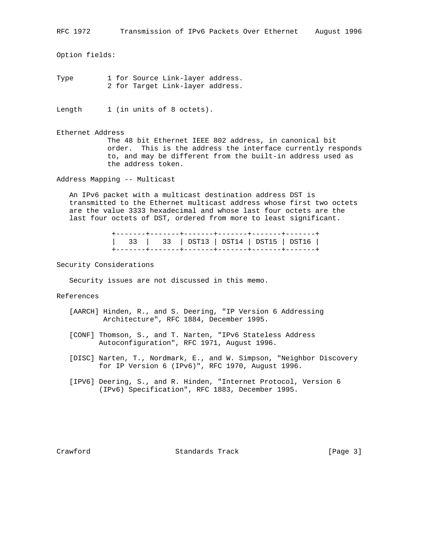Option fields:

Type 1 for Source Link-layer address. 2 for Target Link-layer address.

Length 1 (in units of 8 octets).

Ethernet Address The 48 bit Ethernet IEEE 802 address, in canonical bit order. This is the address the interface currently responds to, and may be different from the built-in address used as the address token.

Address Mapping -- Multicast

 An IPv6 packet with a multicast destination address DST is transmitted to the Ethernet multicast address whose first two octets are the value 3333 hexadecimal and whose last four octets are the last four octets of DST, ordered from more to least significant.

> +-------+-------+-------+-------+-------+-------+ | 33 | 33 | DST13 | DST14 | DST15 | DST16 | +-------+-------+-------+-------+-------+-------+

Security Considerations

Security issues are not discussed in this memo.

References

- [AARCH] Hinden, R., and S. Deering, "IP Version 6 Addressing Architecture", RFC 1884, December 1995.
- [CONF] Thomson, S., and T. Narten, "IPv6 Stateless Address Autoconfiguration", RFC 1971, August 1996.
- [DISC] Narten, T., Nordmark, E., and W. Simpson, "Neighbor Discovery for IP Version 6 (IPv6)", RFC 1970, August 1996.
- [IPV6] Deering, S., and R. Hinden, "Internet Protocol, Version 6 (IPv6) Specification", RFC 1883, December 1995.

Crawford **Standards Track** [Page 3]